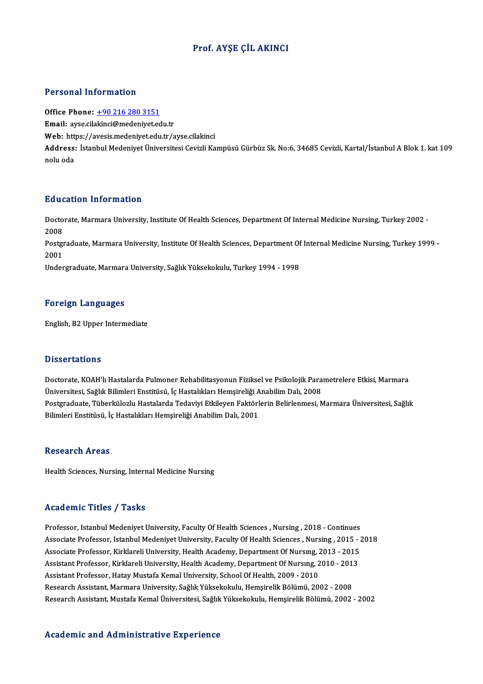## Prof. AYŞE ÇİL AKINCI

#### Personal Information

Office Phone: +90 216 280 3151 Email: ayse.cil[akinci@medeniyet.ed](tel:+90 216 280 3151)u.tr Office Phone: <u>+90 216 280 3151</u><br>Email: ayse.cilakinci@medeniyet.edu.tr<br>Web: https://avesis.medeniyet.edu.tr/ayse.cilakinci<br>Address: Istanbul Medeniyet.<sup>[Iniyersitesi Cevirli Ke</sup> Address: İstanbul Medeniyet Üniversitesi Cevizli Kampüsü Gürbüz Sk. No:6, 34685 Cevizli, Kartal/İstanbul A Blok 1. kat 109<br>nolu oda Web: htt<br>Address:<br>nolu oda

### Education Information

**Education Information**<br>Doctorate, Marmara University, Institute Of Health Sciences, Department Of Internal Medicine Nursing, Turkey 2002 -<br>2008 Data<br>Docto<br>2008<br>Postar Doctorate, Marmara University, Institute Of Health Sciences, Department Of Internal Medicine Nursing, Turkey 2002 -<br>2008<br>Postgraduate, Marmara University, Institute Of Health Sciences, Department Of Internal Medicine Nursi 2008<br>Postgi<br>2001<br>Under Postgraduate, Marmara University, Institute Of Health Sciences, Department Of<br>2001<br>Undergraduate, Marmara University, Sağlık Yüksekokulu, Turkey 1994 - 1998

Undergraduate, Marmara University, Sağlık Yüksekokulu, Turkey 1994 - 1998<br>Foreign Languages

English,B2Upper Intermediate

### **Dissertations**

Dissertations<br>Doctorate, KOAH'lı Hastalarda Pulmoner Rehabilitasyonun Fiziksel ve Psikolojik Parametrelere Etkisi, Marmara<br>Üniversitesi, Seğlık Pilimleri Enstitüsü, İs Hastalıkları Hamsireliği Anabilim Dalı, 2009 D'isser tarre'nis<br>Doctorate, KOAH'lı Hastalarda Pulmoner Rehabilitasyonun Fiziksel ve Psikolojik Para<br>Üniversitesi, Sağlık Bilimleri Enstitüsü, İç Hastalıkları Hemşireliği Anabilim Dalı, 2008<br>Postaraduata Tüberküleglu Hast Doctorate, KOAH'lı Hastalarda Pulmoner Rehabilitasyonun Fiziksel ve Psikolojik Parametrelere Etkisi, Marmara<br>Üniversitesi, Sağlık Bilimleri Enstitüsü, İç Hastalıkları Hemşireliği Anabilim Dalı, 2008<br>Postgraduate, Tüberkülo Üniversitesi, Sağlık Bilimleri Enstitüsü, İç Hastalıkları Hemşireliği A<br>Postgraduate, Tüberkülozlu Hastalarda Tedaviyi Etkileyen Faktörl<br>Bilimleri Enstitüsü, İç Hastalıkları Hemşireliği Anabilim Dalı, 2001 Bilimleri Enstitüsü, İç Hastalıkları Hemşireliği Anabilim Dalı, 2001<br>Research Areas

Health Sciences, Nursing, Internal Medicine Nursing

#### Academic Titles / Tasks

Academic Titles / Tasks<br>Professor, Istanbul Medeniyet University, Faculty Of Health Sciences , Nursing , 2018 - Continues<br>Associate Professor, Istanbul Medeniyet University, Faculty Of Health Sciences, Nursing , 2015 . Associate Article 7 Tubate<br>Professor, Istanbul Medeniyet University, Faculty Of Health Sciences , Nursing , 2018 - Continues<br>Associate Professor, Istanbul Medeniyet University, Faculty Of Health Sciences , Nursing , 2015 -Professor, Istanbul Medeniyet University, Faculty Of Health Sciences , Nursing , 2018 - Continues<br>Associate Professor, Istanbul Medeniyet University, Faculty Of Health Sciences , Nursing , 2015 - 2<br>Associate Professor, Kir Associate Professor, Istanbul Medeniyet University, Faculty Of Health Sciences , Nursing , 2015 -<br>Associate Professor, Kirklareli University, Health Academy, Department Of Nursing, 2013 - 2015<br>Assistant Professor, Kirklare Associate Professor, Kirklareli University, Health Academy, Department Of Nursing, 2<br>Assistant Professor, Kirklareli University, Health Academy, Department Of Nursing, 2<br>Assistant Professor, Hatay Mustafa Kemal University, Assistant Professor, Kirklareli University, Health Academy, Department Of Nursıng, 2010 - 201<br>Assistant Professor, Hatay Mustafa Kemal University, School Of Health, 2009 - 2010<br>Research Assistant, Marmara University, Sağlı Assistant Professor, Hatay Mustafa Kemal University, School Of Health, 2009 - 2010<br>Research Assistant, Marmara University, Sağlık Yüksekokulu, Hemşirelik Bölümü, 2002 - 2008<br>Research Assistant, Mustafa Kemal Üniversitesi,

#### Academic and Administrative Experience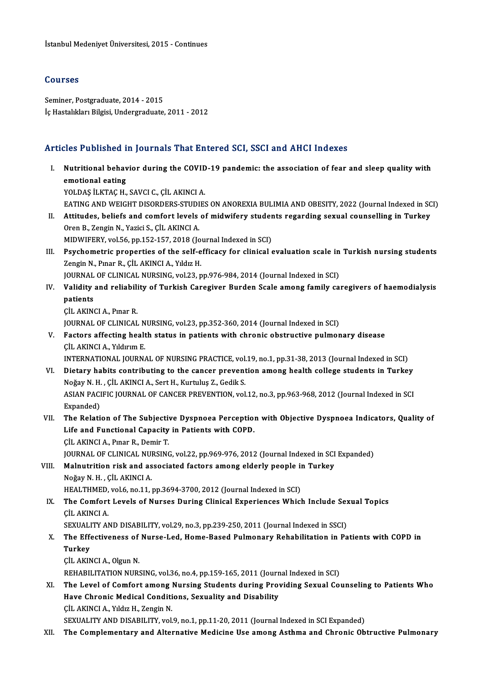## Courses

Seminer, Postgraduate, 2014 - 2015 İç Hastalıkları Bilgisi, Undergraduate, 2011 - 2012

## Articles Published in Journals That Entered SCI, SSCI and AHCI Indexes

rticles Published in Journals That Entered SCI, SSCI and AHCI Indexes<br>I. Nutritional behavior during the COVID-19 pandemic: the association of fear and sleep quality with<br>emotional esting emotional behavior<br>Nutritional behavior<br>emotional eating<br>YOU DAS ILLYTAC H **Nutritional behavior during the COVID<br>emotional eating<br>YOLDAŞ İLKTAÇ H., SAVCI C., ÇİL AKINCI A.<br>EATINC AND WEICHT DISORDERS STUDIR** emotional eating<br>YOLDAŞ İLKTAÇ H., SAVCI C., ÇİL AKINCI A.<br>EATING AND WEIGHT DISORDERS-STUDIES ON ANOREXIA BULIMIA AND OBESITY, 2022 (Journal Indexed in SCI)<br>Attitudes, beliefe and semfort levels of midwifery students rese

- YOLDAŞ İLKTAÇ H., SAVCI C., ÇİL AKINCI A.<br>EATING AND WEIGHT DISORDERS-STUDIES ON ANOREXIA BULIMIA AND OBESITY, 2022 (Journal Indexed in SC<br>II. Attitudes, beliefs and comfort levels of midwifery students regarding sexual co EATING AND WEIGHT DISORDERS-STUDI<br>Attitudes, beliefs and comfort levels<br>Oren B., Zengin N., Yazici S., ÇİL AKINCI A.<br>MIDWIEEBY vel 56 nn 152,157, 2019 (Jo II. Attitudes, beliefs and comfort levels of midwifery students regarding sexual counselling in Turkey<br>Oren B., Zengin N., Yazici S., ÇİL AKINCI A.<br>MIDWIFERY, vol.56, pp.152-157, 2018 (Journal Indexed in SCI) Oren B., Zengin N., Yazici S., ÇİL AKINCI A.<br>MIDWIFERY, vol.56, pp.152-157, 2018 (Journal Indexed in SCI)<br>III. Psychometric properties of the self-efficacy for clinical evaluation scale in Turkish nursing students<br>Zongin N
- MIDWIFERY, vol.56, pp.152-157, 2018 (Jo<br>Psychometric properties of the self-e<br>Zengin N., Pınar R., ÇİL AKINCI A., Yıldız H.<br>JOUPNAL OF CLINICAL NUPSINC vol.33. p Psychometric properties of the self-efficacy for clinical evaluation scale in<br>Zengin N., Pınar R., ÇİL AKINCI A., Yıldız H.<br>JOURNAL OF CLINICAL NURSING, vol.23, pp.976-984, 2014 (Journal Indexed in SCI)<br>Volidity and reliab Zengin N., Pınar R., ÇİL AKINCI A., Yıldız H.<br>JOURNAL OF CLINICAL NURSING, vol.23, pp.976-984, 2014 (Journal Indexed in SCI)<br>IV. Validity and reliability of Turkish Caregiver Burden Scale among family caregivers of hae
- JOURNAL OF CLINICAL NURSING, vol.23, pp.976-984, 2014 (Journal Indexed in SCI)<br>Validity and reliability of Turkish Caregiver Burden Scale among family ca<br>patients<br>CIL AKINCI A., Pinar R. Validity and reliabili<br>patients<br>ÇİL AKINCI A., Pınar R.<br>IQUPNAL OE CLINICAL
	- patients<br>ÇİL AKINCI A., Pınar R.<br>JOURNAL OF CLINICAL NURSING, vol.23, pp.352-360, 2014 (Journal Indexed in SCI)<br>Festors affecting boalth status in nationts with shnonis obstructive nulmer
- V. Factors affecting health status in patients with chronic obstructive pulmonary disease **JOURNAL OF CLINICAL N<br>Factors affecting healt<br>CIL AKINCI A., Yıldırım E.<br>INTERNATIONAL JOURN** Factors affecting health status in patients with chronic obstructive pulmonary disease<br>CİL AKINCI A., Yıldırım E.<br>INTERNATIONAL JOURNAL OF NURSING PRACTICE, vol.19, no.1, pp.31-38, 2013 (Journal Indexed in SCI)<br>Distany bab

CIL AKINCI A., Yıldırım E.<br>INTERNATIONAL JOURNAL OF NURSING PRACTICE, vol.19, no.1, pp.31-38, 2013 (Journal Indexed in SCI)<br>VI. Dietary habits contributing to the cancer prevention among health college students in Turkey<br>N INTERNATIONAL JOURNAL OF NURSING PRACTICE, vol.<br>Dietary habits contributing to the cancer prevent<br>Noğay N. H. , ÇİL AKINCI A., Sert H., Kurtuluş Z., Gedik S.<br>ASIAN PACIELC JOURNAL OF CANCER PREVENTION vol. Dietary habits contributing to the cancer prevention among health college students in Turkey<br>Noğay N. H. , ÇİL AKINCI A., Sert H., Kurtuluş Z., Gedik S.<br>ASIAN PACIFIC JOURNAL OF CANCER PREVENTION, vol.12, no.3, pp.963-968, Noğay N. H.<br>ASIAN PACI<br>Expanded)<br>The Peleti

## Expanded)<br>VII. The Relation of The Subjective Dyspnoea Perception with Objective Dyspnoea Indicators, Quality of Expanded)<br>The Relation of The Subjective Dyspnoea Perception<br>Life and Functional Capacity in Patients with COPD.<br>CU AKINCLA Brnar B. Domir T The Relation of The Subjectiv<br>Life and Functional Capacity<br>CIL AKINCI A., Pınar R., Demir T.<br>JOUPNAL OF CLINICAL NUPSING CIL AKINCI A., Pınar R., Demir T.<br>JOURNAL OF CLINICAL NURSING, vol.22, pp.969-976, 2012 (Journal Indexed in SCI Expanded)

## CIL AKINCI A., Pmar R., Demir T.<br>JOURNAL OF CLINICAL NURSING, vol.22, pp.969-976, 2012 (Journal Indexed in SCI<br>VIII. Malnutrition risk and associated factors among elderly people in Turkey<br>Nožov N. H., CU. AKINCLA **JOURNAL OF CLINICAL NU<br>Malnutrition risk and as<br>Noğay N. H. , ÇİL AKINCI A.<br>HEALTHMED vol 6 no 11 .** Malnutrition risk and associated factors among elderly people in<br>Noğay N. H. , ÇİL AKINCI A.<br>HEALTHMED, vol.6, no.11, pp.3694-3700, 2012 (Journal Indexed in SCI)<br>The Comfort Levels of Nurses During Clinical Experiences Whi Noğay N. H. , ÇİL AKINCI A.<br>HEALTHMED, vol.6, no.11, pp.3694-3700, 2012 (Journal Indexed in SCI)<br>IX. The Comfort Levels of Nurses During Clinical Experiences Which Include Sexual Topics<br>CUAENCLA

## HEALTHMED,<br>**The Comfort**<br>ÇİL AKINCI A.<br>SEYUALITY AL The Comfort Levels of Nurses During Clinical Experiences Which Include Sex<br>CiL AKINCI A.<br>SEXUALITY AND DISABILITY, vol.29, no.3, pp.239-250, 2011 (Journal Indexed in SSCI)<br>The Effectiveness of Nurse Led, Home Based Bulmona

## CIL AKINCI A.<br>SEXUALITY AND DISABILITY, vol.29, no.3, pp.239-250, 2011 (Journal Indexed in SSCI)<br>X. The Effectiveness of Nurse-Led, Home-Based Pulmonary Rehabilitation in Patients with COPD in<br>Turkey **SEXUALI**<br>The Eff<br>Turkey<br>CU AKIN The Effectiveness of<br>Turkey<br>ÇİL AKINCI A., Olgun N.<br>REHARILITATION NURS Turkey<br>ÇİL AKINCI A., Olgun N.<br>REHABILITATION NURSING, vol.36, no.4, pp.159-165, 2011 (Journal Indexed in SCI)<br>The Lovel of Comfort among Nursing Students during Providing Sovual Co.

## CIL AKINCI A., Olgun N.<br>REHABILITATION NURSING, vol.36, no.4, pp.159-165, 2011 (Journal Indexed in SCI)<br>XI. The Level of Comfort among Nursing Students during Providing Sexual Counseling to Patients Who REHABILITATION NURSING, vol.36, no.4, pp.159-165, 2011 (Journ<br>The Level of Comfort among Nursing Students during Prov<br>Have Chronic Medical Conditions, Sexuality and Disability<br>CU AKINCLA, Vildy H. Zongin N The Level of Comfort among I<br>Have Chronic Medical Conditi<br>ÇİL AKINCI A., Yıldız H., Zengin N.<br>SEYUALITY AND DISABILITY xol Have Chronic Medical Conditions, Sexuality and Disability<br>CIL AKINCI A., Yıldız H., Zengin N.<br>SEXUALITY AND DISABILITY, vol.9, no.1, pp.11-20, 2011 (Journal Indexed in SCI Expanded)

#### XII. The Complementary and Alternative Medicine Use among Asthma and Chronic Obtructive Pulmonary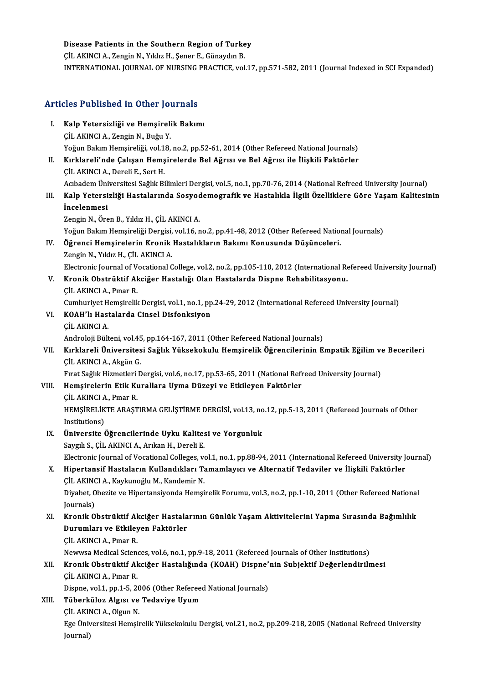# Disease Patients in the Southern Region of Turkey<br>CU AKINGLA Zangin N, Vildig H, Sanar E, Günaydin P

Disease Patients in the Southern Region of Turke<br>ÇİL AKINCI A., Zengin N., Yıldız H., Şener E., Günaydın B.<br>INTERNATIONAL JOURNAL OF NURSING PRACTICE vol ÇİL AKINCI A., Zengin N., Yıldız H., Şener E., Günaydın B.<br>INTERNATIONAL JOURNAL OF NURSING PRACTICE, vol.17, pp.571-582, 2011 (Journal Indexed in SCI Expanded)

# Articles Published in Other Journals

- Titicles Published in Other Journals<br>I. Kalp Yetersizliği ve Hemşirelik Bakımı<br>C<sup>it AKINCLA Zongin N. Buğu V</sup> I. Kalp Yetersizliği ve Hemşirelik Bakımı<br>ÇİL AKINCI A., Zengin N., Buğu Y. Yoğun Bakım Hemsireliği, vol.18, no.2, pp.52-61, 2014 (Other Refereed National Journals)
- II. Kırklareli'nde Çalışan Hemşirelerde Bel Ağrısı ve Bel Ağrısı ile İlişkili Faktörler ÇİLAKINCIA.,DereliE.,SertH. Kırklareli'nde Çalışan Hemşirelerde Bel Ağrısı ve Bel Ağrısı ile İlişkili Faktörler<br>ÇİL AKINCI A., Dereli E., Sert H.<br>Acıbadem Üniversitesi Sağlık Bilimleri Dergisi, vol.5, no.1, pp.70-76, 2014 (National Refreed University ÇİL AKINCI A., Dereli E., Sert H.<br>Acıbadem Üniversitesi Sağlık Bilimleri Dergisi, vol.5, no.1, pp.70-76, 2014 (National Refreed University Journal)<br>III. Kalp Yetersizliği Hastalarında Sosyodemografik ve Hastalıkla İlgi

## Acıbadem Üni<br><mark>Kalp Yetersi</mark><br>İncelenmesi<br><sup>Zongin N. Öre</sup> Kalp Yetersizliği Hastalarında Sosyoc<br>İncelenmesi<br>Zengin N., Ören B., Yıldız H., ÇİL AKINCI A.<br>Yoğun Balam Hemsineliği Dengisi vel 16. r **İncelenmesi**<br>Zengin N., Ören B., Yıldız H., ÇİL AKINCI A.<br>Yoğun Bakım Hemşireliği Dergisi, vol.16, no.2, pp.41-48, 2012 (Other Refereed National Journals)

- Zengin N., Ören B., Yıldız H., ÇİL AKINCI A.<br>Yoğun Bakım Hemşireliği Dergisi, vol.16, no.2, pp.41-48, 2012 (Other Refereed Nation<br>IV. Öğrenci Hemşirelerin Kronik Hastalıkların Bakımı Konusunda Düşünceleri.<br>Zangin N. Yıldır Yoğun Bakım Hemşireliği Dergisi,<br><mark>Öğrenci Hemşirelerin Kronik</mark><br>Zengin N., Yıldız H., ÇİL AKINCI A.<br>Flestrenis Journal of Vesstianal G Zengin N., Yıldız H., ÇİL AKINCI A.<br>Electronic Journal of Vocational College, vol.2, no.2, pp.105-110, 2012 (International Refereed University Journal) Zengin N., Yıldız H., ÇİL AKINCI A.<br>Electronic Journal of Vocational College, vol.2, no.2, pp.105-110, 2012 (International Reflectronic Journal of<br>V. Kronik Obstrüktif Akciğer Hastalığı Olan Hastalarda Dispne Rehabilitasyo
- Electronic Journal of V<br>**Kronik Obstrüktif Al**<br>ÇİL AKINCI A., Pınar R.<br>Cumburiyat Hamsiralil

ÇİL AKINCI A., Pınar R.<br>Cumhuriyet Hemşirelik Dergisi, vol.1, no.1, pp.24-29, 2012 (International Refereed University Journal) CİL AKINCI A., Pınar R.<br>Cumhuriyet Hemşirelik Dergisi, vol.1, no.1, pp<br>VI. KOAH'lı Hastalarda Cinsel Disfonksiyon<br>CUAKINCLA

Cumhuriyet H<br>**KOAH'lı Has**t<br>ÇİL AKINCI A.<br>Androloji Bült

CİL AKINCI A.<br>Androloji Bülteni, vol.45, pp.164-167, 2011 (Other Refereed National Journals)

## ÇİL AKINCI A.<br>Androloji Bülteni, vol.45, pp.164-167, 2011 (Other Refereed National Journals)<br>VII. Kırklareli Üniversitesi Sağlık Yüksekokulu Hemşirelik Öğrencilerinin Empatik Eğilim ve Becerileri<br>CU. AKINCLA, Akrin C Androloji Bülteni, vol.45<br>Kırklareli Üniversites<br>ÇİL AKINCI A., Akgün G.<br>Evret Sağlık Hirmetleri E Kırklareli Üniversitesi Sağlık Yüksekokulu Hemşirelik Öğrencilerinin Empatik Eğilim ve<br>ÇİL AKINCI A., Akgün G.<br>Fırat Sağlık Hizmetleri Dergisi, vol.6, no.17, pp.53-65, 2011 (National Refreed University Journal)<br>Hemsinaleri CİL AKINCI A., Akgün G.<br>Fırat Sağlık Hizmetleri Dergisi, vol.6, no.17, pp.53-65, 2011 (National Refi<br>VIII. Hemşirelerin Etik Kurallara Uyma Düzeyi ve Etkileyen Faktörler<br>CİL AKINCLA, Buyar B

# Fırat Sağlık Hizmetleri<br>H<mark>emşirelerin Etik Kı</mark><br>ÇİL AKINCI A., Pınar R.<br>HEMSİRELİKTE ARAST

Hemşirelerin Etik Kurallara Uyma Düzeyi ve Etkileyen Faktörler<br>ÇİL AKINCI A., Pınar R.<br>HEMŞİRELİKTE ARAŞTIRMA GELİŞTİRME DERGİSİ, vol.13, no.12, pp.5-13, 2011 (Refereed Journals of Other<br>Institutione) CİL AKINCI A<br>HEMŞİRELİK<br>Institutions)<br>Ünivensite ( HEMŞİRELİKTE ARAŞTIRMA GELİŞTİRME DERGİSİ, vol.13, no<br>Institutions)<br>IX. Üniversite Öğrencilerinde Uyku Kalitesi ve Yorgunluk<br>Savah S. CİLAKINCLA Ankan H. Danali E

Institutions)<br>Üniversite Öğrencilerinde Uyku Kalites<br>Saygılı S., ÇİL AKINCI A., Arıkan H., Dereli E.<br>Electronia Journal of Vesstional Calleges v. Üniversite Öğrencilerinde Uyku Kalitesi ve Yorgunluk<br>Saygılı S., ÇİL AKINCI A., Arıkan H., Dereli E.<br>Electronic Journal of Vocational Colleges, vol.1, no.1, pp.88-94, 2011 (International Refereed University Journal)<br>Hinert

## Saygılı S., ÇİL AKINCI A., Arıkan H., Dereli E.<br>Electronic Journal of Vocational Colleges, vol.1, no.1, pp.88-94, 2011 (International Refereed University J.<br>X. Hipertansif Hastaların Kullandıkları Tamamlayıcı ve Alternatif Electronic Journal of Vocational Colleges, vo<br>Hipertansif Hastaların Kullandıkları Ta<br>ÇİL AKINCI A., Kaykunoğlu M., Kandemir N.<br>Divebet Oberite ve Hipertansiyanda Hamsi Hipertansif Hastaların Kullandıkları Tamamlayıcı ve Alternatif Tedaviler ve İlişkili Faktörler<br>ÇİL AKINCI A., Kaykunoğlu M., Kandemir N.<br>Diyabet, Obezite ve Hipertansiyonda Hemşirelik Forumu, vol.3, no.2, pp.1-10, 2011 (Ot

CİL AKINO<br>Diyabet, O<br>Journals)<br>Kronik O Diyabet, Obezite ve Hipertansiyonda Hemşirelik Forumu, vol.3, no.2, pp.1-10, 2011 (Other Refereed National<br>Journals)<br>XI. Kronik Obstrüktif Akciğer Hastalarının Günlük Yaşam Aktivitelerini Yapma Sırasında Bağımlılık<br>Dunumla

## Journals)<br>Kronik Obstrüktif Akciğer Hastala<br>Durumları ve Etkileyen Faktörler<br>CU AKINCLA Bror B Kronik Obstrüktif Al<br>Durumları ve Etkiley<br>ÇİL AKINCI A., Pınar R.<br>Naurusa Madisal Ssian Durumları ve Etkileyen Faktörler<br>ÇİL AKINCI A., Pınar R.<br>Newwsa Medical Sciences, vol.6, no.1, pp.9-18, 2011 (Refereed Journals of Other Institutions)<br>Knonik Obetrülttif Aksižer Hestalığında (KOAH) Dispne'nin Subjaktif Değ

## CİL AKINCI A., Pınar R.<br>Newwsa Medical Sciences, vol.6, no.1, pp.9-18, 2011 (Refereed Journals of Other Institutions)<br>XII. Kronik Obstrüktif Akciğer Hastalığında (KOAH) Dispne'nin Subjektif Değerlendirilmesi<br>CU. AKINCL Newwsa Medical Scien<br>**Kronik Obstrüktif Al<br>ÇİL AKINCI A., Pınar R.**<br>Pianne vol 1 nn 1 5 <sup>2</sup>. Kronik Obstrüktif Akciğer Hastalığında (KOAH) Dispne':<br>ÇİL AKINCI A., Pınar R.<br>Dispne, vol.1, pp.1-5, 2006 (Other Refereed National Journals)<br>Tüberküler Alsısı ve Tedeviye Hyum CİL AKINCI A., Pınar R.<br>Dispne, vol.1, pp.1-5, 2006 (Other Referee<br>XIII. Tüberküloz Algısı ve Tedaviye Uyum

Dispne, vol.1, pp.1-5, 2006 (Other Refereed National Journals)

## ÇİL AKINCI A., Olgun N.

Ege Üniversitesi Hemşirelik Yüksekokulu Dergisi, vol.21, no.2, pp.209-218, 2005 (National Refreed University<br>Journal)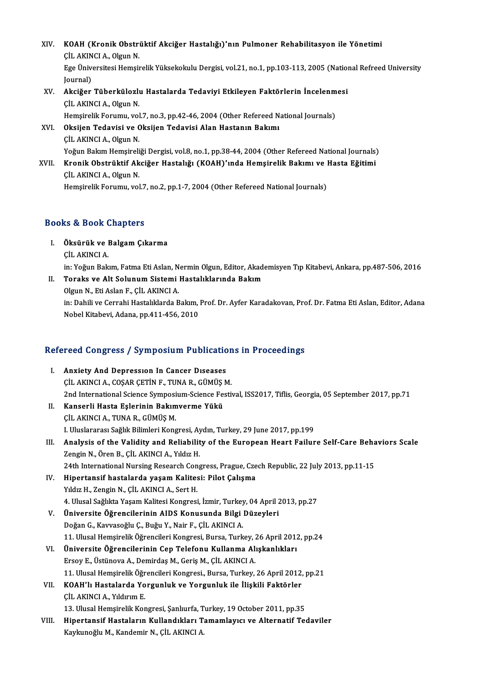XIV. KOAH (Kronik Obstrüktif Akciğer Hastalığı)'nın Pulmoner Rehabilitasyon ile Yönetimi KOAH (Kronik Obstri<br>ÇİL AKINCI A., Olgun N.<br>Ese Üniversitesi Hemsi KOAH (Kronik Obstrüktif Akciğer Hastalığı)'nın Pulmoner Rehabilitasyon ile Yönetimi<br>ÇİL AKINCI A., Olgun N.<br>Ege Üniversitesi Hemşirelik Yüksekokulu Dergisi, vol.21, no.1, pp.103-113, 2005 (National Refreed University<br>Iourn CİL AKIN<br>Ege Üniv<br>Journal)<br>Aksižer Ege Üniversitesi Hemşirelik Yüksekokulu Dergisi, vol.21, no.1, pp.103-113, 2005 (Nation Journal)<br>Journal)<br>XV. Akciğer Tüberkülozlu Hastalarda Tedaviyi Etkileyen Faktörlerin İncelenmesi<br>CUAKINCLA Olgun N Journal)<br><mark>Akciğer Tüberkülozlı</mark><br>ÇİL AKINCI A., Olgun N.<br>Hemsirelik Ferumu vel Akciğer Tüberkülozlu Hastalarda Tedaviyi Etkileyen Faktörlerin İncelenm<br>ÇİL AKINCI A., Olgun N.<br>Hemşirelik Forumu, vol.7, no.3, pp.42-46, 2004 (Other Refereed National Journals)<br>Oksijan Tedavisi ve Oksijan Tedavisi Alan Ha CİL AKINCI A., Olgun N.<br>Hemşirelik Forumu, vol.7, no.3, pp.42-46, 2004 (Other Refereed N<br>XVI. Oksijen Tedavisi ve Oksijen Tedavisi Alan Hastanın Bakımı<br>CİL AKINCI A. Olgun N Hemşirelik Forumu, vol<br>**Oksijen Tedavisi ve C<br>ÇİL AKINCI A., Olgun N.**<br>Yoğun Balam Hemsireli Oksijen Tedavisi ve Oksijen Tedavisi Alan Hastanın Bakımı<br>ÇİL AKINCI A., Olgun N.<br>Yoğun Bakım Hemşireliği Dergisi, vol.8, no.1, pp.38-44, 2004 (Other Refereed National Journals)<br>Knonik Obstrüktif Aksiğer Hastalığı (KOAH)'ı CİL AKINCI A., Olgun N.<br>Yoğun Bakım Hemşireliği Dergisi, vol.8, no.1, pp.38-44, 2004 (Other Refereed National Journals)<br>XVII. Kronik Obstrüktif Akciğer Hastalığı (KOAH)'ında Hemşirelik Bakımı ve Hasta Eğitimi Yoğun Bakım Hemşireli<br><mark>Kronik Obstrüktif Ak</mark><br>ÇİL AKINCI A., Olgun N.<br>Hemsirelik Ferumu, vel Kronik Obstrüktif Akciğer Hastalığı (KOAH)'ında Hemşirelik Bakımı ve l<br>ÇİL AKINCI A., Olgun N.<br>Hemşirelik Forumu, vol.7, no.2, pp.1-7, 2004 (Other Refereed National Journals)

# Hemşirelik Forumu, vol.7, no.2, pp.1-7, 2004 (Other Refereed National Journals)<br>Books & Book Chapters

- ooks & Book Chapters<br>I. Öksürük ve Balgam Çıkarma<br>CU AKINCLA is & Book<br>Öksürük ve l<br>ÇİL AKINCI A.<br>in: Yožur Balı Öksürük ve Balgam Çıkarma<br>ÇİL AKINCI A.<br>in: Yoğun Bakım, Fatma Eti Aslan, Nermin Olgun, Editor, Akademisyen Tıp Kitabevi, Ankara, pp.487-506, 2016<br>Toraks ve Alt Salunum Sistami Hastalıklarında Bakım CİL AKINCI A.<br>in: Yoğun Bakım, Fatma Eti Aslan, Nermin Olgun, Editor, Akadı<br>II. Toraks ve Alt Solunum Sistemi Hastalıklarında Bakım<br>Olgun N. Eti Aslan E. CİL AKINCLA in: Yoğun Bakım, Fatma Eti Aslan, N<br>**Toraks ve Alt Solunum Sistemi**<br>Olgun N., Eti Aslan F., ÇİL AKINCI A.<br>in: Dabili ve Cerrabi Hastalıklarda B
	- Toraks ve Alt Solunum Sistemi Hastalıklarında Bakım<br>Olgun N., Eti Aslan F., ÇİL AKINCI A.<br>in: Dahili ve Cerrahi Hastalıklarda Bakım, Prof. Dr. Ayfer Karadakovan, Prof. Dr. Fatma Eti Aslan, Editor, Adana<br>Nobel Kitabevi, Ada Olgun N., Eti Aslan F., ÇİL AKINCI A.<br>in: Dahili ve Cerrahi Hastalıklarda Bakım,<br>Nobel Kitabevi, Adana, pp.411-456, 2010

# 1990 Nobel Kitabevi, Adana, pp.411-456, 2010<br>Refereed Congress / Symposium Publications in Proceedings

- Efereed Congress / Symposium Publication<br>I. Anxiety And Depression In Cancer Diseases<br>CUACING A COSAR CETINE TUNAR CÜMÜSA I. Anxiety And Depression In Cancer Diseases<br>CILAKINCIA., COŞAR ÇETİN F., TUNA R., GÜMÜŞM. Anxiety And Depression In Cancer Diseases<br>ÇİL AKINCI A., COŞAR ÇETİN F., TUNA R., GÜMÜŞ M.<br>2nd International Science Symposium-Science Festival, ISS2017, Tiflis, Georgia, 05 September 2017, pp.71<br>Kansarli Hasta Felerinin B CIL AKINCI A., COŞAR ÇETİN F., TUNA R., GÜMÜŞ<br>2nd International Science Symposium-Science Fe.<br>II. Kanserli Hasta Eşlerinin Bakımverme Yükü
- 2nd International Science Symposi<br>Kanserli Hasta Eşlerinin Bakım<br>ÇİL AKINCI A., TUNA R., GÜMÜŞ M.<br>L Uluslararası Sağlık Bilimlari Kans Kanserli Hasta Eşlerinin Bakımverme Yükü<br>ÇİL AKINCI A., TUNA R., GÜMÜŞ M.<br>I. Uluslararası Sağlık Bilimleri Kongresi, Aydın, Turkey, 29 June 2017, pp.199<br>Analysis of the Validity and Boliability of the European Heart Failur CIL AKINCI A., TUNA R., GÜMÜŞ M.<br>I. Uluslararası Sağlık Bilimleri Kongresi, Aydın, Turkey, 29 June 2017, pp.199<br>III. Analysis of the Validity and Reliability of the European Heart Failure Self-Care Behaviors Scale<br>Zeng
- I. Uluslararası Sağlık Bilimleri Kongresi, Ay<br><mark>Analysis of the Validity and Reliabilit</mark><br>Zengin N., Ören B., ÇİL AKINCI A., Yıldız H.<br>24th International Nursing Besearsh Cons Analysis of the Validity and Reliability of the European Heart Failure Self-Care Beha<br>Zengin N., Ören B., ÇİL AKINCI A., Yıldız H.<br>24th International Nursing Research Congress, Prague, Czech Republic, 22 July 2013, pp.11-1 Zengin N., Ören B., ÇİL AKINCI A., Yıldız H.<br>24th International Nursing Research Congress, Prague, Cze<br>IV. Hipertansif hastalarda yaşam Kalitesi: Pilot Çalışma<br>Vıldız H. Zongin N. ÇİL AKINCLA, Sort H
- 24th International Nursing Research Con<br>Hipertansif hastalarda yaşam Kalites<br>Yıldız H., Zengin N., ÇİL AKINCI A., Sert H.<br>4. Hlusel Sağlıkta Yaşam Kalitesi Kongresi Hipertansif hastalarda yaşam Kalitesi: Pilot Çalışma<br>Yıldız H., Zengin N., ÇİL AKINCI A., Sert H.<br>4. Ulusal Sağlıkta Yaşam Kalitesi Kongresi, İzmir, Turkey, 04 April 2013, pp.27<br>Üniversite Öğrensilerinin AIDS Konusunda Bil Yıldız H., Zengin N., ÇİL AKINCI A., Sert H.<br>4. Ulusal Sağlıkta Yaşam Kalitesi Kongresi, İzmir, Turkey, 04 April 2<br>V. Üniversite Öğrencilerinin AIDS Konusunda Bilgi Düzeyleri<br>Doğan G. Kayıyeseğlu G. Buğu Y. Nair E. ÇİL AKI
- 4. Ulusal Sağlıkta Yaşam Kalitesi Kongresi, İzmir, Turkey<br>Üniversite Öğrencilerinin AIDS Konusunda Bilgi<br>Doğan G., Kavvasoğlu Ç., Buğu Y., Nair F., ÇİL AKINCI A.<br>11. Ulusal Hemsinalik Öğrensileri Kongresi, Bursa, Turk Üniversite Öğrencilerinin AIDS Konusunda Bilgi Düzeyleri<br>Doğan G., Kavvasoğlu Ç., Buğu Y., Nair F., ÇİL AKINCI A.<br>11. Ulusal Hemşirelik Öğrencileri Kongresi, Bursa, Turkey, 26 April 2012, pp.24<br>Üniversite Öğrensilerinin Ce Doğan G., Kavvasoğlu Ç., Buğu Y., Nair F., ÇİL AKINCI A.<br>11. Ulusal Hemşirelik Öğrencileri Kongresi, Bursa, Turkey, 26 April 2012<br>VI. Üniversite Öğrencilerinin Cep Telefonu Kullanma Alışkanlıkları<br>Fraqy F. Üstüneva A. Demi
- 11. Ulusal Hemşirelik Öğrencileri Kongresi, Bursa, Turkey, 2<br>Üniversite Öğrencilerinin Cep Telefonu Kullanma Ali<br>Ersoy E., Üstünova A., Demirdaş M., Geriş M., ÇİL AKINCI A.<br>11. Ulusal Hemsirelik Öğrensileri Kongresi, Bursa Üniversite Öğrencilerinin Cep Telefonu Kullanma Alışkanlıkları<br>Ersoy E., Üstünova A., Demirdaş M., Geriş M., ÇİL AKINCI A.<br>11. Ulusal Hemşirelik Öğrencileri Kongresi., Bursa, Turkey, 26 April 2012, pp.21<br>KOAH'lı Hestelanda
- Ersoy E., Üstünova A., Demirdaş M., Geriş M., ÇİL AKINCI A.<br>11. Ulusal Hemşirelik Öğrencileri Kongresi., Bursa, Turkey, 26 April 2012,<br>VII. KOAH'lı Hastalarda Yorgunluk ve Yorgunluk ile İlişkili Faktörler<br>CİL AKINCI A., Yı 11. Ulusal Hemşirelik Öğr<br>KOAH'lı Hastalarda Yo<br>ÇİL AKINCI A., Yıldırım E.<br>12. Ulusal Hemsinalik Ker KOAH'lı Hastalarda Yorgunluk ve Yorgunluk ile İlişkili Faktörler<br>ÇİL AKINCI A., Yıldırım E.<br>13. Ulusal Hemşirelik Kongresi, Şanlıurfa, Turkey, 19 October 2011, pp.35<br>Hinertanaif Hastaların Kullandılıları Tamamlawaı ve Alta
- VIII. Hipertansif Hastaların Kullandıkları Tamamlayıcı ve Alternatif Tedaviler<br>Kaykunoğlu M., Kandemir N., ÇİL AKINCI A. 13. Ulusal Hemşirelik Kongresi, Şanlıurfa, T<br>Hi<mark>pertansif Hastaların Kullandıkları T</mark>.<br>Kaykunoğlu M., Kandemir N., ÇİL AKINCI A.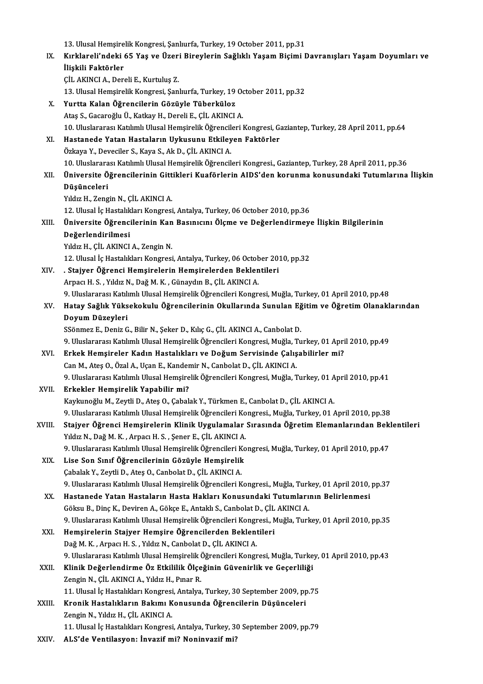|        | 13. Ulusal Hemşirelik Kongresi, Şanlıurfa, Turkey, 19 October 2011, pp.31                                   |
|--------|-------------------------------------------------------------------------------------------------------------|
| IX.    | Kırklareli'ndeki 65 Yaş ve Üzeri Bireylerin Sağlıklı Yaşam Biçimi Davranışları Yaşam Doyumları ve           |
|        | İlişkili Faktörler                                                                                          |
|        | ÇİL AKINCI A., Dereli E., Kurtuluş Z.                                                                       |
|        | 13. Ulusal Hemşirelik Kongresi, Şanlıurfa, Turkey, 19 October 2011, pp.32                                   |
| Х.     | Yurtta Kalan Öğrencilerin Gözüyle Tüberküloz                                                                |
|        | Ataş S., Gacaroğlu Ü., Katkay H., Dereli E., ÇİL AKINCI A.                                                  |
|        | 10. Uluslararası Katılımlı Ulusal Hemşirelik Öğrencileri Kongresi, Gaziantep, Turkey, 28 April 2011, pp.64  |
| XI.    | Hastanede Yatan Hastaların Uykusunu Etkileyen Faktörler                                                     |
|        | Özkaya Y., Deveciler S., Kaya S., Ak D., ÇİL AKINCI A.                                                      |
|        | 10. Uluslararası Katılımlı Ulusal Hemşirelik Öğrencileri Kongresi., Gaziantep, Turkey, 28 April 2011, pp.36 |
| XII.   | Üniversite Öğrencilerinin Gittikleri Kuaförlerin AIDS'den korunma konusundaki Tutumlarına İlişkin           |
|        | Düşünceleri                                                                                                 |
|        | Yıldız H., Zengin N., ÇİL AKINCI A.                                                                         |
|        | 12. Ulusal İç Hastalıkları Kongresi, Antalya, Turkey, 06 October 2010, pp.36                                |
| XIII.  | Üniversite Öğrencilerinin Kan Basınıcını Ölçme ve Değerlendirmeye İlişkin Bilgilerinin                      |
|        | Değerlendirilmesi                                                                                           |
|        | Yıldız H., ÇİL AKINCI A., Zengin N.                                                                         |
|        | 12. Ulusal İç Hastalıkları Kongresi, Antalya, Turkey, 06 October 2010, pp.32                                |
| XIV.   | . Stajyer Öğrenci Hemşirelerin Hemşirelerden Beklentileri                                                   |
|        | Arpacı H. S., Yıldız N., Dağ M. K., Günaydın B., ÇİL AKINCI A.                                              |
|        | 9. Uluslararası Katılımlı Ulusal Hemşirelik Öğrencileri Kongresi, Muğla, Turkey, 01 April 2010, pp.48       |
| XV.    | Hatay Sağlık Yüksekokulu Öğrencilerinin Okullarında Sunulan Eğitim ve Öğretim Olanaklarından                |
|        | Doyum Düzeyleri                                                                                             |
|        | SSönmez E., Deniz G., Bilir N., Şeker D., Kılıç G., ÇİL AKINCI A., Canbolat D.                              |
|        | 9. Uluslararası Katılımlı Ulusal Hemşirelik Öğrencileri Kongresi, Muğla, Turkey, 01 April 2010, pp.49       |
| XVI.   | Erkek Hemşireler Kadın Hastalıkları ve Doğum Servisinde Çalışabilirler mi?                                  |
|        | Can M., Ateş O., Özal A., Uçan E., Kandemir N., Canbolat D., ÇİL AKINCI A.                                  |
|        | 9. Uluslararası Katılımlı Ulusal Hemşirelik Öğrencileri Kongresi, Muğla, Turkey, 01 April 2010, pp.41       |
| XVII.  | Erkekler Hemşirelik Yapabilir mi?                                                                           |
|        | Kaykunoğlu M., Zeytli D., Ateş O., Çabalak Y., Türkmen E., Canbolat D., ÇİL AKINCI A.                       |
|        | 9. Uluslararası Katılımlı Ulusal Hemşirelik Öğrencileri Kongresi., Muğla, Turkey, 01 April 2010, pp.38      |
| XVIII. | Stajyer Öğrenci Hemşirelerin Klinik Uygulamalar Sırasında Öğretim Elemanlarından Beklentileri               |
|        | Yıldız N., Dağ M. K., Arpacı H. S., Şener E., ÇİL AKINCI A.                                                 |
|        | 9. Uluslararası Katılımlı Ulusal Hemşirelik Öğrencileri Kongresi, Muğla, Turkey, 01 April 2010, pp.47       |
| XIX.   | Lise Son Sınıf Öğrencilerinin Gözüyle Hemşirelik                                                            |
|        | Çabalak Y., Zeytli D., Ateş O., Canbolat D., ÇİL AKINCI A.                                                  |
|        | 9. Uluslararası Katılımlı Ulusal Hemşirelik Öğrencileri Kongresi., Muğla, Turkey, 01 April 2010, pp.37      |
| XX.    | Hastanede Yatan Hastaların Hasta Hakları Konusundaki Tutumlarının Belirlenmesi                              |
|        | Göksu B., Dinç K., Deviren A., Gökçe E., Antaklı S., Canbolat D., ÇİL AKINCI A.                             |
|        | 9. Uluslararası Katılımlı Ulusal Hemşirelik Öğrencileri Kongresi., Muğla, Turkey, 01 April 2010, pp.35      |
| XXI.   | Hemşirelerin Stajyer Hemşire Öğrencilerden Beklentileri                                                     |
|        | Dağ M. K., Arpacı H. S., Yıldız N., Canbolat D., ÇİL AKINCI A.                                              |
|        | 9. Uluslararası Katılımlı Ulusal Hemşirelik Öğrencileri Kongresi, Muğla, Turkey, 01 April 2010, pp.43       |
| XXII.  | Klinik Değerlendirme Öz Etkililik Ölçeğinin Güvenirlik ve Geçerliliği                                       |
|        | Zengin N., ÇİL AKINCI A., Yıldız H., Pınar R.                                                               |
|        | 11. Ulusal İç Hastalıkları Kongresi, Antalya, Turkey, 30 September 2009, pp.75                              |
| XXIII. | Kronik Hastalıkların Bakımı Konusunda Öğrencilerin Düşünceleri                                              |
|        | Zengin N., Yıldız H., ÇİL AKINCI A.                                                                         |
|        | 11. Ulusal İç Hastalıkları Kongresi, Antalya, Turkey, 30 September 2009, pp.79                              |
| XXIV.  | ALS'de Ventilasyon: İnvazif mi? Noninvazif mi?                                                              |
|        |                                                                                                             |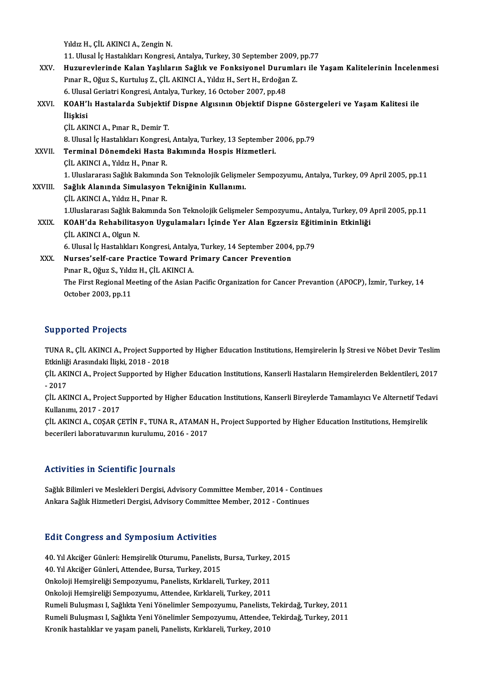Yıldız H., ÇİL AKINCI A., Zengin N.

11.<br>11. Ulusal İç Hastalıkları Kongresi, Antalya, Turkey, 30 September 2009, pp.77<br>Hugunovlarinda Kalan Yaskların Sağlık ve Fanksiyanal Durumları ile 1

Yıldız H., ÇİL AKINCI A., Zengin N.<br>11. Ulusal İç Hastalıkları Kongresi, Antalya, Turkey, 30 September 2009, pp.77<br>XXV. Huzurevlerinde Kalan Yaşlıların Sağlık ve Fonksiyonel Durumları ile Yaşam Kalitelerinin İncelenmes 11. Ulusal İç Hastalıkları Kongresi, Antalya, Turkey, 30 September 2009,<br>Huzurevlerinde Kalan Yaşlıların Sağlık ve Fonksiyonel Durumla<br>Pınar R., Oğuz S., Kurtuluş Z., ÇİL AKINCI A., Yıldız H., Sert H., Erdoğan Z.<br>6. Ulusal Huzurevlerinde Kalan Yaşlıların Sağlık ve Fonksiyonel Duru:<br>Pınar R., Oğuz S., Kurtuluş Z., ÇİL AKINCI A., Yıldız H., Sert H., Erdoğar<br>6. Ulusal Geriatri Kongresi, Antalya, Turkey, 16 October 2007, pp.48<br>KOAH'lı Hastalarda Pınar R., Oğuz S., Kurtuluş Z., ÇİL AKINCI A., Yıldız H., Sert H., Erdoğan Z.<br>6. Ulusal Geriatri Kongresi, Antalya, Turkey, 16 October 2007, pp.48<br>XXVI. KOAH'lı Hastalarda Subjektif Dispne Algısının Objektif Dispne Gös

6. Ulusal Geriatri Kongresi, Antalya, Turkey, 16 October 2007, pp.48<br>KOAH'lı Hastalarda Subjektif Dispne Algısının Objektif Dispn<br>İlişkisi<br>ÇİL AKINCI A., Pınar R., Demir T. KOAH'lı Hastalarda Subjektif<br>İlişkisi<br>ÇİL AKINCI A., Pınar R., Demir T.<br><sup>9. Hlucel İs Hastalıkları Konsresi</sup> 8. Ulusal İç Hastalıkları Kongresi, Antalya, Turkey, 13 September 2006, pp.79 CİL AKINCI A., Pınar R., Demir T.<br>8. Ulusal İç Hastalıkları Kongresi, Antalya, Turkey, 13 September :<br>XXVII. Terminal Dönemdeki Hasta Bakımında Hospis Hizmetleri.<br>CİL AKINCLA Yıldız H. Bınar B. 8. Ulusal İç Hastalıkları Kongres<br>Terminal Dönemdeki Hasta İ<br>ÇİL AKINCI A., Yıldız H., Pınar R.<br>1. Uluslararası Sağlık Balamında 0 ÇİL AKINCI A., Yıldız H., Pınar R.<br>1. Uluslararası Sağlık Bakımında Son Teknolojik Gelişmeler Sempozyumu, Antalya, Turkey, 09 April 2005, pp.11 XXVIII. Sağlık Alanında Simulasyon Tekniğinin Kullanımı. ÇİL AKINCI A., Yıldız H., Pınar R. Sağlık Alanında Simulasyon Tekniğinin Kullanımı.<br>ÇİL AKINCI A., Yıldız H., Pınar R.<br>1.Uluslararası Sağlık Bakımında Son Teknolojik Gelişmeler Sempozyumu., Antalya, Turkey, 09 April 2005, pp.11<br>KOAH'da Bahabilitasyon Uygula CİL AKINCI A., Yıldız H., Pınar R.<br>1.Uluslararası Sağlık Bakımında Son Teknolojik Gelişmeler Sempozyumu., Antalya, Turkey, 09<br>XXIX. KOAH'da Rehabilitasyon Uygulamaları İçinde Yer Alan Egzersiz Eğitiminin Etkinliği<br>cil 1.Uluslararası Sağlık Ba<br>**KOAH'da Rehabilitas**<br>ÇİL AKINCI A., Olgun N.<br>6. Ulusal İs Hastalıldan. KOAH'da Rehabilitasyon Uygulamaları İçinde Yer Alan Egzersiz Eğiti<br>ÇİL AKINCI A., Olgun N.<br>6. Ulusal İç Hastalıkları Kongresi, Antalya, Turkey, 14 September 2004, pp.79<br>Nurses'self sare Prestise Toward Primery Canser Preve CIL AKINCI A., Olgun N.<br>6. Ulusal İç Hastalıkları Kongresi, Antalya, Turkey, 14 September 2004, pp.79<br>XXX. Nurses'self-care Practice Toward Primary Cancer Prevention 6. Ulusal İç Hastalıkları Kongresi, Antaly.<br>Nurses'self-care Practice Toward P<br>Pınar R., Oğuz S., Yıldız H., ÇİL AKINCI A.<br>The First Begianal Mesting of the Asian. The First Regional Meeting of the Asian Pacific Organization for Cancer Prevantion (APOCP), İzmir, Turkey, 14<br>October 2003, pp.11 Pınar R., Oğuz S., Yıldı<br>The First Regional Me<br>October 2003, pp.11

## Supported Projects

Supported Projects<br>TUNA R., ÇİL AKINCI A., Project Supported by Higher Education Institutions, Hemşirelerin İş Stresi ve Nöbet Devir Teslim<br>Ethinliği Arasındaki İliaki 2018, 2019 Etkinliği Arasındaki İlişki, 2018 - 2018<br>Etkinliği Arasındaki İlişki, 2018 - 2018<br>CUARINCLA, Preject Supperted bu Hi TUNA R., ÇİL AKINCI A., Project Supported by Higher Education Institutions, Hemşirelerin İş Stresi ve Nöbet Devir Teslim<br>Etkinliği Arasındaki İlişki, 2018 - 2018<br>ÇİL AKINCI A., Project Supported by Higher Education Institu

Etkinliği Arasındaki İlişki, 2018 - 2018<br>ÇİL AKINCI A., Project Supported by Higher Education Institutions, Kanserli Hastaların Hemşirelerden Beklentileri, 2017<br>- 2017 ÇİL AKINCI A., Project Supported by Higher Education Institutions, Kanserli Hastaların Hemşirelerden Beklentileri, 2017<br>- 2017<br>ÇİL AKINCI A., Project Supported by Higher Education Institutions, Kanserli Bireylerde Tamamlay

- 2017<br>ÇİL AKINCI A., Project S<br>Kullanımı, 2017 - 2017<br>CU AKINCI A. COSAR C ÇİL AKINCI A., Project Supported by Higher Education Institutions, Kanserli Bireylerde Tamamlayıcı Ve Alternetif Teda<br>Kullanımı, 2017 - 2017<br>ÇİL AKINCI A., COŞAR ÇETİN F., TUNA R., ATAMAN H., Project Supported by Higher Ed

Kullanımı, 2017 - 2017<br>ÇİL AKINCI A., COŞAR ÇETİN F., TUNA R., ATAMAN H., Project Supported by Higher Education Institutions, Hemşirelik<br>becerileri laboratuvarının kurulumu. 2016 - 2017

### Activities in Scientific Journals

Sağlık Bilimleri ve Meslekleri Dergisi, Advisory Committee Member, 2014 - Continues Ankara Sağlık Hizmetleri Dergisi, Advisory Committee Member, 2012 - Continues

### **Edit Congress and Symposium Activities**

Edit Congress and Symposium Activities<br>40. Yıl Akciğer Günleri: Hemşirelik Oturumu, Panelists, Bursa, Turkey, 2015<br>40. Yıl Akciğer Günleri: Attandee Bursa, Turkey, 2015 2016. Songi 655 und 87 inpositant fictivities<br>40. Yıl Akciğer Günleri: Hemşirelik Oturumu, Panelists,<br>A0. Yıl Akciğer Günleri, Attendee, Bursa, Turkey, 2015 40. Yıl Akciğer Günleri: Hemşirelik Oturumu, Panelists, Bursa, Turkey,<br>40. Yıl Akciğer Günleri, Attendee, Bursa, Turkey, 2015<br>Onkoloji Hemşireliği Sempozyumu, Panelists, Kırklareli, Turkey, 2011<br>Onkoloji Hemsireliği Sempoz 40. Yıl Akciğer Günleri, Attendee, Bursa, Turkey, 2015<br>Onkoloji Hemşireliği Sempozyumu, Panelists, Kırklareli, Turkey, 2011<br>Onkoloji Hemşireliği Sempozyumu, Attendee, Kırklareli, Turkey, 2011<br>Pumeli Buluamesı I. Seğlikta Y Onkoloji Hemşireliği Sempozyumu, Attendee, Kırklareli, Turkey, 2011<br>Rumeli Buluşması I, Sağlıkta Yeni Yönelimler Sempozyumu, Panelists, Tekirdağ, Turkey, 2011 Onkoloji Hemşireliği Sempozyumu, Attendee, Kırklareli, Turkey, 2011<br>Rumeli Buluşması I, Sağlıkta Yeni Yönelimler Sempozyumu, Panelists, Tekirdağ, Turkey, 2011<br>Rumeli Buluşması I, Sağlıkta Yeni Yönelimler Sempozyumu, Attend Rumeli Buluşması I, Sağlıkta Yeni Yönelimler Sempozyumu, Panelists,<br>Rumeli Buluşması I, Sağlıkta Yeni Yönelimler Sempozyumu, Attendee,<br>Kronik hastalıklar ve yaşam paneli, Panelists, Kırklareli, Turkey, 2010